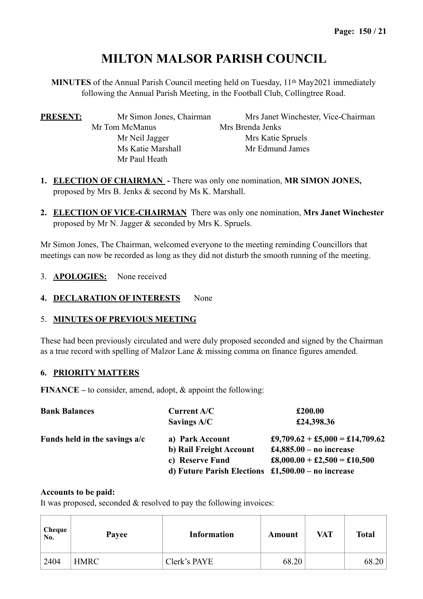# **MILTON MALSOR PARISH COUNCIL**

**MINUTES** of the Annual Parish Council meeting held on Tuesday, 11th May2021 immediately following the Annual Parish Meeting, in the Football Club, Collingtree Road.

| <b>PRESENT:</b> | Mr Simon Jones, Chairman | Mrs Janet Winchester, Vice-Chairman |
|-----------------|--------------------------|-------------------------------------|
|                 | Mr Tom McManus           | Mrs Brenda Jenks                    |
|                 | Mr Neil Jagger           | Mrs Katie Spruels                   |
|                 | Ms Katie Marshall        | Mr Edmund James                     |
|                 | Mr Paul Heath            |                                     |

- **1. ELECTION OF CHAIRMAN** There was only one nomination, **MR SIMON JONES,**  proposed by Mrs B. Jenks & second by Ms K. Marshall.
- **2. ELECTION OF VICE-CHAIRMAN** There was only one nomination, **Mrs Janet Winchester**  proposed by Mr N. Jagger & seconded by Mrs K. Spruels.

Mr Simon Jones, The Chairman, welcomed everyone to the meeting reminding Councillors that meetings can now be recorded as long as they did not disturb the smooth running of the meeting.

- 3. **APOLOGIES:** None received
- 4. **DECLARATION OF INTERESTS** None

# 5. **MINUTES OF PREVIOUS MEETING**

These had been previously circulated and were duly proposed seconded and signed by the Chairman as a true record with spelling of Malzor Lane & missing comma on finance figures amended.

# **6. PRIORITY MATTERS**

**FINANCE –** to consider, amend, adopt, & appoint the following:

| <b>Bank Balances</b>          | Current A/C                                                              | £200.00                         |  |
|-------------------------------|--------------------------------------------------------------------------|---------------------------------|--|
|                               | Savings A/C                                                              | £24,398.36                      |  |
| Funds held in the savings a/c | a) Park Account                                                          | £9,709.62 + £5,000 = £14,709.62 |  |
|                               | b) Rail Freight Account                                                  | £4,885.00 – no increase         |  |
|                               | c) Reserve Fund                                                          | £8,000.00 + £2,500 = £10,500    |  |
|                               | d) Future Parish Elections $\text{\pounds}1,500.00 - \text{no}$ increase |                                 |  |

#### **Accounts to be paid:**

It was proposed, seconded & resolved to pay the following invoices:

| Cheque<br>No. | Payee       | <b>Information</b> | Amount | VAT | <b>Total</b> |
|---------------|-------------|--------------------|--------|-----|--------------|
| 2404          | <b>HMRC</b> | Clerk's PAYE       | 68.20  |     | 68.20        |